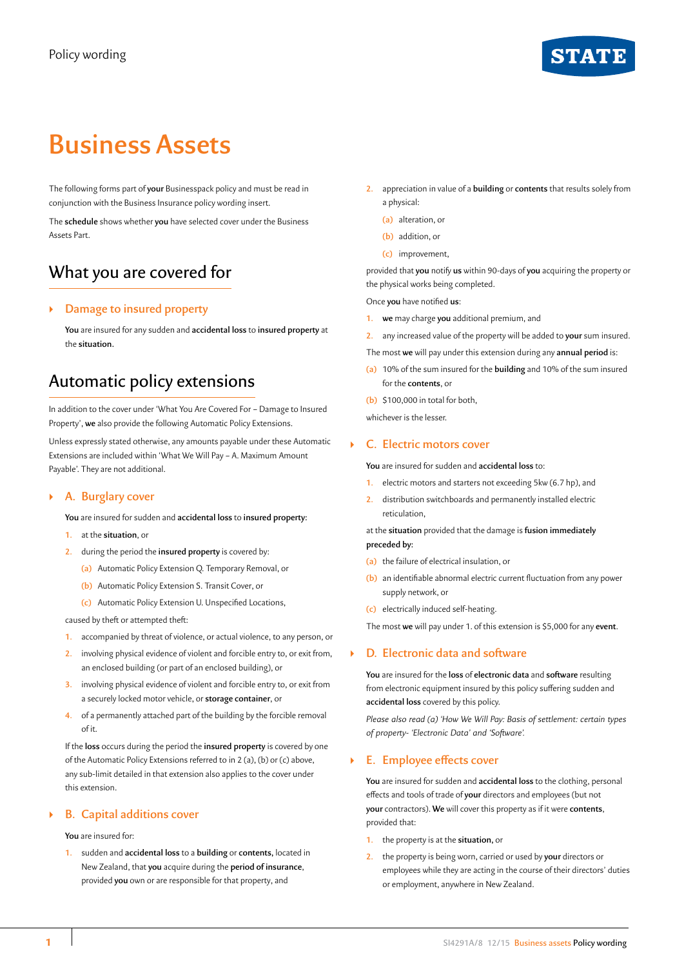## **STAT**

# **Business Assets**

The following forms part of **your** Businesspack policy and must be read in conjunction with the Business Insurance policy wording insert.

The **schedule** shows whether **you** have selected cover under the Business Assets Part.

## What you are covered for

## ` **Damage to insured property**

**You** are insured for any sudden and **accidental loss** to **insured property** at the **situation.**

## Automatic policy extensions

In addition to the cover under 'What You Are Covered For – Damage to Insured Property', **we** also provide the following Automatic Policy Extensions.

Unless expressly stated otherwise, any amounts payable under these Automatic Extensions are included within 'What We Will Pay – A. Maximum Amount Payable'. They are not additional.

## ` **A. Burglary cover**

**You** are insured for sudden and **accidental loss** to **insured property:**

- **1.** at the **situation**, or
- **2.** during the period the **insured property** is covered by:
	- **(a)** Automatic Policy Extension Q. Temporary Removal, or
	- **(b)** Automatic Policy Extension S. Transit Cover, or
	- **(c)** Automatic Policy Extension U. Unspecified Locations,

caused by theft or attempted theft:

- **1.** accompanied by threat of violence, or actual violence, to any person, or
- **2.** involving physical evidence of violent and forcible entry to, or exit from, an enclosed building (or part of an enclosed building), or
- **3.** involving physical evidence of violent and forcible entry to, or exit from a securely locked motor vehicle, or **storage container**, or
- **4.** of a permanently attached part of the building by the forcible removal of it.

If the **loss** occurs during the period the **insured property** is covered by one of the Automatic Policy Extensions referred to in 2 (a), (b) or (c) above, any sub-limit detailed in that extension also applies to the cover under this extension.

## ` **B. Capital additions cover**

**You** are insured for:

**1.** sudden and **accidental loss** to a **building** or **contents,** located in New Zealand, that **you** acquire during the **period of insurance**, provided **you** own or are responsible for that property, and

- **2.** appreciation in value of a **building** or **contents** that results solely from a physical:
	- **(a)** alteration, or
	- **(b)** addition, or
	- **(c)** improvement,

provided that **you** notify **us** within 90-days of **you** acquiring the property or the physical works being completed.

Once **you** have notified **us**:

- **1. we** may charge **you** additional premium, and
- **2.** any increased value of the property will be added to **your** sum insured.
- The most **we** will pay under this extension during any **annual period** is:
- **(a)** 10% of the sum insured for the **building** and 10% of the sum insured for the **contents**, or
- **(b)** \$100,000 in total for both,

whichever is the lesser.

## ` **C. Electric motors cover**

**You** are insured for sudden and **accidental loss** to:

- **1.** electric motors and starters not exceeding 5kw (6.7 hp), and
- **2.** distribution switchboards and permanently installed electric reticulation,

at the **situation** provided that the damage is **fusion immediately preceded by:**

- **(a)** the failure of electrical insulation, or
- **(b)** an identifiable abnormal electric current fluctuation from any power supply network, or
- **(c)** electrically induced self-heating.

The most **we** will pay under 1. of this extension is \$5,000 for any **event**.

## ` **D. Electronic data and software**

**You** are insured for the **loss** of **electronic data** and **software** resulting from electronic equipment insured by this policy suffering sudden and **accidental loss** covered by this policy.

*Please also read (a) 'How We Will Pay: Basis of settlement: certain types of property- 'Electronic Data' and 'Software'.*

## ` **E. Employee effects cover**

**You** are insured for sudden and **accidental loss** to the clothing, personal effects and tools of trade of **your** directors and employees (but not **your** contractors). **We** will cover this property as if it were **contents**, provided that:

- **1.** the property is at the **situation,** or
- **2.** the property is being worn, carried or used by **your** directors or employees while they are acting in the course of their directors' duties or employment, anywhere in New Zealand.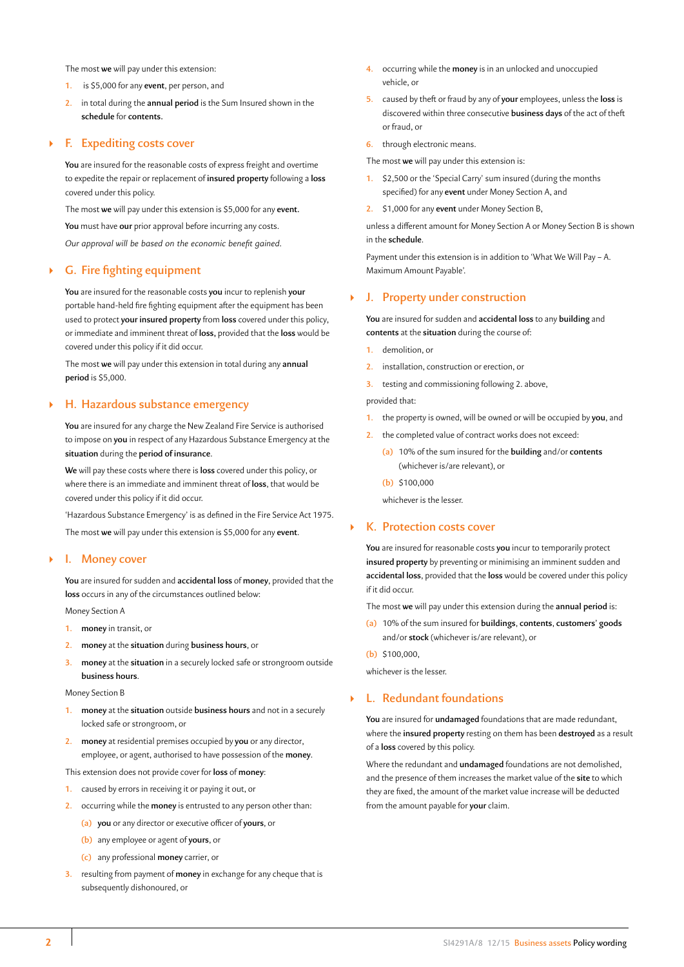The most **we** will pay under this extension:

- **1.** is \$5,000 for any **event**, per person, and
- **2.** in total during the **annual period** is the Sum Insured shown in the **schedule** for **contents.**

## ` **F. Expediting costs cover**

**You** are insured for the reasonable costs of express freight and overtime to expedite the repair or replacement of **insured property** following a **loss** covered under this policy.

The most **we** will pay under this extension is \$5,000 for any **event.**

**You** must have **our** prior approval before incurring any costs.

*Our approval will be based on the economic benefit gained*.

## ` **G. Fire fighting equipment**

**You** are insured for the reasonable costs **you** incur to replenish **your** portable hand-held fire fighting equipment after the equipment has been used to protect **your insured property** from **loss** covered under this policy, or immediate and imminent threat of **loss,** provided that the **loss** would be covered under this policy if it did occur.

The most **we** will pay under this extension in total during any **annual period** is \$5,000.

#### ` **H. Hazardous substance emergency**

**You** are insured for any charge the New Zealand Fire Service is authorised to impose on **you** in respect of any Hazardous Substance Emergency at the **situation** during the **period of insurance**.

**We** will pay these costs where there is **loss** covered under this policy, or where there is an immediate and imminent threat of **loss**, that would be covered under this policy if it did occur.

'Hazardous Substance Emergency' is as defined in the Fire Service Act 1975. The most **we** will pay under this extension is \$5,000 for any **event**.

#### ` **I. Money cover**

**You** are insured for sudden and **accidental loss** of **money**, provided that the **loss** occurs in any of the circumstances outlined below:

Money Section A

- **1. money** in transit, or
- **2. money** at the **situation** during **business hours**, or
- **3. money** at the **situation** in a securely locked safe or strongroom outside **business hours**.

#### Money Section B

- **1. money** at the **situation** outside **business hours** and not in a securely locked safe or strongroom, or
- **2. money** at residential premises occupied by **you** or any director, employee, or agent, authorised to have possession of the **money**.

This extension does not provide cover for **loss** of **money**:

- **1.** caused by errors in receiving it or paying it out, or
- **2.** occurring while the **money** is entrusted to any person other than:
	- **(a) you** or any director or executive officer of **yours**, or
	- **(b)** any employee or agent of **yours**, or
	- **(c)** any professional **money** carrier, or
- **3.** resulting from payment of **money** in exchange for any cheque that is subsequently dishonoured, or
- **4.** occurring while the **money** is in an unlocked and unoccupied vehicle, or
- **5.** caused by theft or fraud by any of **your** employees, unless the **loss** is discovered within three consecutive **business days** of the act of theft or fraud, or
- **6.** through electronic means.

The most **we** will pay under this extension is:

- **1.** \$2,500 or the 'Special Carry' sum insured (during the months specified) for any **event** under Money Section A, and
- **2.** \$1,000 for any **event** under Money Section B,

unless a different amount for Money Section A or Money Section B is shown in the **schedule**.

Payment under this extension is in addition to 'What We Will Pay – A. Maximum Amount Payable'.

## ` **J. Property under construction**

**You** are insured for sudden and **accidental loss** to any **building** and **contents** at the **situation** during the course of:

- **1.** demolition, or
- **2.** installation, construction or erection, or
- **3.** testing and commissioning following 2. above,

provided that:

- **1.** the property is owned, will be owned or will be occupied by **you**, and
- **2.** the completed value of contract works does not exceed:
	- **(a)** 10% of the sum insured for the **building** and/or **contents**  (whichever is/are relevant), or
	- **(b)** \$100,000

whichever is the lesser.

## ` **K. Protection costs cover**

**You** are insured for reasonable costs **you** incur to temporarily protect **insured property** by preventing or minimising an imminent sudden and **accidental loss**, provided that the **loss** would be covered under this policy if it did occur.

The most **we** will pay under this extension during the **annual period** is:

- **(a)** 10% of the sum insured for **buildings**, **contents**, **customers' goods**  and/or **stock** (whichever is/are relevant), or
- **(b)** \$100,000,

whichever is the lesser.

#### ` **L. Redundant foundations**

**You** are insured for **undamaged** foundations that are made redundant, where the **insured property** resting on them has been **destroyed** as a result of a **loss** covered by this policy.

Where the redundant and **undamaged** foundations are not demolished, and the presence of them increases the market value of the **site** to which they are fixed, the amount of the market value increase will be deducted from the amount payable for **your** claim.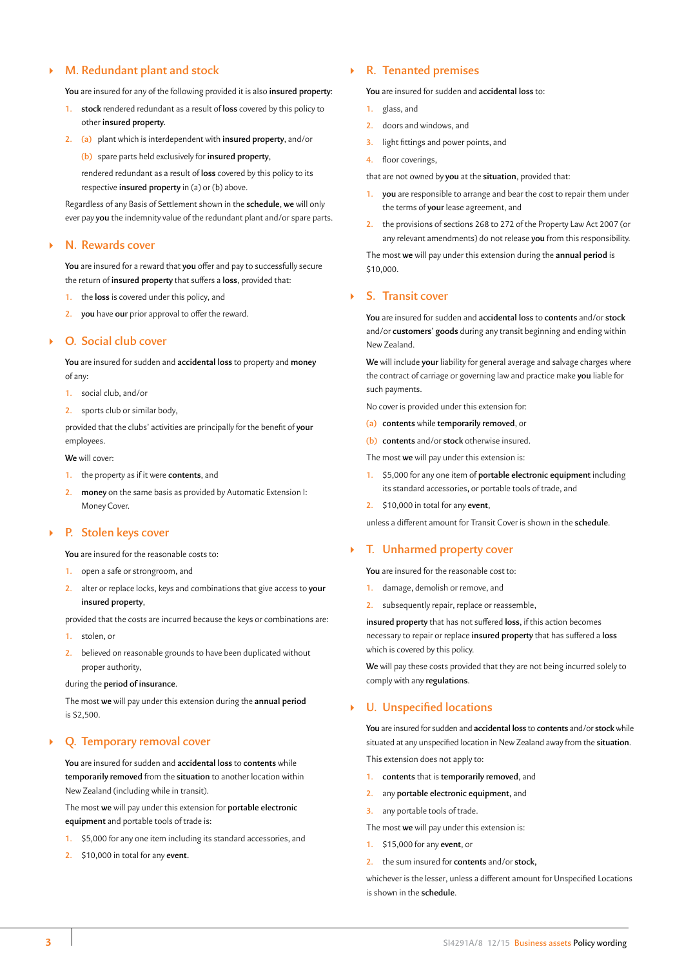## ` **M. Redundant plant and stock**

**You** are insured for any of the following provided it is also **insured property**:

- **1. stock** rendered redundant as a result of **loss** covered by this policy to other **insured property.**
- **2. (a)** plant which is interdependent with **insured property**, and/or
	- **(b)** spare parts held exclusively for **insured property**,

rendered redundant as a result of **loss** covered by this policy to its respective **insured property** in (a) or (b) above.

Regardless of any Basis of Settlement shown in the **schedule**, **we** will only ever pay **you** the indemnity value of the redundant plant and/or spare parts.

## ` **N. Rewards cover**

**You** are insured for a reward that **you** offer and pay to successfully secure the return of **insured property** that suffers a **loss**, provided that:

- **1.** the **loss** is covered under this policy, and
- **2. you** have **our** prior approval to offer the reward.

#### ` **O. Social club cover**

**You** are insured for sudden and **accidental loss** to property and **money** of any:

- **1.** social club, and/or
- **2.** sports club or similar body,

provided that the clubs' activities are principally for the benefit of **your** employees.

#### **We** will cover:

- **1.** the property as if it were **contents**, and
- **2. money** on the same basis as provided by Automatic Extension I: Money Cover.

## ` **P. Stolen keys cover**

**You** are insured for the reasonable costs to:

- **1.** open a safe or strongroom, and
- **2.** alter or replace locks, keys and combinations that give access to **your insured property**,

provided that the costs are incurred because the keys or combinations are:

- **1.** stolen, or
- **2.** believed on reasonable grounds to have been duplicated without proper authority,

#### during the **period of insurance**.

The most **we** will pay under this extension during the **annual period** is \$2,500.

## ` **Q. Temporary removal cover**

**You** are insured for sudden and **accidental loss** to **contents** while **temporarily removed** from the **situation** to another location within New Zealand (including while in transit).

The most **we** will pay under this extension for **portable electronic equipment** and portable tools of trade is:

- **1.** \$5,000 for any one item including its standard accessories, and
- **2.** \$10,000 in total for any **event.**

## ` **R. Tenanted premises**

#### **You** are insured for sudden and **accidental loss** to:

- **1.** glass, and
- **2.** doors and windows, and
- **3.** light fittings and power points, and
- **4.** floor coverings,

that are not owned by **you** at the **situation**, provided that:

- **1. you** are responsible to arrange and bear the cost to repair them under the terms of **your** lease agreement, and
- **2.** the provisions of sections 268 to 272 of the Property Law Act 2007 (or any relevant amendments) do not release **you** from this responsibility.

The most **we** will pay under this extension during the **annual period** is \$10,000.

## ` **S. Transit cover**

**You** are insured for sudden and **accidental loss** to **contents** and/or **stock** and/or **customers' goods** during any transit beginning and ending within New Zealand.

**We** will include **your** liability for general average and salvage charges where the contract of carriage or governing law and practice make **you** liable for such payments.

No cover is provided under this extension for:

- **(a) contents** while **temporarily removed**, or
- **(b) contents** and/or **stock** otherwise insured.

The most **we** will pay under this extension is:

- **1.** \$5,000 for any one item of **portable electronic equipment** including its standard accessories**,** or portable tools of trade, and
- **2.** \$10,000 in total for any **event**,

unless a different amount for Transit Cover is shown in the **schedule**.

## ` **T. Unharmed property cover**

**You** are insured for the reasonable cost to:

- **1.** damage, demolish or remove, and
- **2.** subsequently repair, replace or reassemble,

**insured property** that has not suffered **loss**, if this action becomes necessary to repair or replace **insured property** that has suffered a **loss** which is covered by this policy.

**We** will pay these costs provided that they are not being incurred solely to comply with any **regulations**.

## ` **U. Unspecified locations**

**You** are insured for sudden and **accidental loss** to **contents** and/or **stock** while situated at any unspecified location in New Zealand away from the **situation**. This extension does not apply to:

- **1. contents** that is **temporarily removed**, and
- **2.** any **portable electronic equipment,** and
- **3.** any portable tools of trade.
- The most **we** will pay under this extension is:
- **1.** \$15,000 for any **event**, or
- **2.** the sum insured for **contents** and/or **stock,**

whichever is the lesser, unless a different amount for Unspecified Locations is shown in the **schedule**.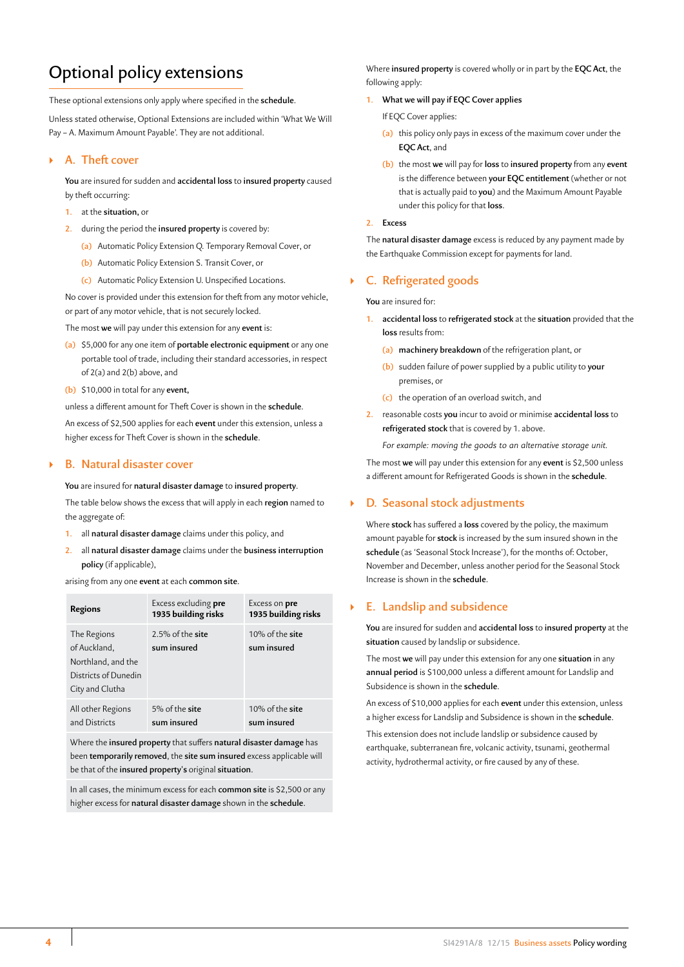## Optional policy extensions

These optional extensions only apply where specified in the **schedule**.

Unless stated otherwise, Optional Extensions are included within 'What We Will Pay – A. Maximum Amount Payable'. They are not additional.

## ` **A. Theft cover**

**You** are insured for sudden and **accidental loss** to **insured property** caused by theft occurring:

- **1.** at the **situation,** or
- **2.** during the period the **insured property** is covered by:
	- **(a)** Automatic Policy Extension Q. Temporary Removal Cover, or
	- **(b)** Automatic Policy Extension S. Transit Cover, or
	- **(c)** Automatic Policy Extension U. Unspecified Locations.

No cover is provided under this extension for theft from any motor vehicle, or part of any motor vehicle, that is not securely locked.

The most **we** will pay under this extension for any **event** is:

- **(a)** \$5,000 for any one item of **portable electronic equipment** or any one portable tool of trade, including their standard accessories, in respect of 2(a) and 2(b) above, and
- **(b)** \$10,000 in total for any **event,**

unless a different amount for Theft Cover is shown in the **schedule**.

An excess of \$2,500 applies for each **event** under this extension, unless a higher excess for Theft Cover is shown in the **schedule**.

### ` **B. Natural disaster cover**

**You** are insured for **natural disaster damage** to **insured property**. The table below shows the excess that will apply in each **region** named to the aggregate of:

- **1.** all **natural disaster damage** claims under this policy, and
- **2.** all **natural disaster damage** claims under the **business interruption policy** (if applicable),

arising from any one **event** at each **common site**.

| <b>Regions</b>                                                                               | Excess excluding <b>pre</b><br>1935 building risks | Excess on pre<br>1935 building risks |
|----------------------------------------------------------------------------------------------|----------------------------------------------------|--------------------------------------|
| The Regions<br>of Auckland,<br>Northland, and the<br>Districts of Dunedin<br>City and Clutha | 2.5% of the site<br>sum insured                    | 10% of the site<br>sum insured       |
| All other Regions<br>and Districts                                                           | 5% of the site<br>sum insured                      | 10% of the site<br>sum insured       |

Where the **insured property** that suffers **natural disaster damage** has been **temporarily removed**, the **site sum insured** excess applicable will be that of the **insured property's** original **situation**.

In all cases, the minimum excess for each **common site** is \$2,500 or any higher excess for **natural disaster damage** shown in the **schedule**.

Where **insured property** is covered wholly or in part by the **EQC Act**, the following apply:

## **1. What we will pay if EQC Cover applies**

- If EQC Cover applies:
- **(a)** this policy only pays in excess of the maximum cover under the **EQC Act**, and
- **(b)** the most **we** will pay for **loss** to **insured property** from any **event** is the difference between **your EQC entitlement** (whether or not that is actually paid to **you**) and the Maximum Amount Payable under this policy for that **loss**.

#### **2. Excess**

The **natural disaster damage** excess is reduced by any payment made by the Earthquake Commission except for payments for land.

## ` **C. Refrigerated goods**

**You** are insured for:

- **1. accidental loss** to **refrigerated stock** at the **situation** provided that the **loss** results from:
	- **(a) machinery breakdown** of the refrigeration plant, or
	- **(b)** sudden failure of power supplied by a public utility to **your** premises, or
	- **(c)** the operation of an overload switch, and
- **2.** reasonable costs **you** incur to avoid or minimise **accidental loss** to **refrigerated stock** that is covered by 1. above.

*For example: moving the goods to an alternative storage unit.*

The most **we** will pay under this extension for any **event** is \$2,500 unless a different amount for Refrigerated Goods is shown in the **schedule**.

## ` **D. Seasonal stock adjustments**

Where **stock** has suffered a **loss** covered by the policy, the maximum amount payable for **stock** is increased by the sum insured shown in the **schedule** (as 'Seasonal Stock Increase'), for the months of: October, November and December, unless another period for the Seasonal Stock Increase is shown in the **schedule**.

## ` **E. Landslip and subsidence**

**You** are insured for sudden and **accidental loss** to **insured property** at the **situation** caused by landslip or subsidence.

The most **we** will pay under this extension for any one **situation** in any **annual period** is \$100,000 unless a different amount for Landslip and Subsidence is shown in the **schedule**.

An excess of \$10,000 applies for each **event** under this extension, unless a higher excess for Landslip and Subsidence is shown in the **schedule**.

This extension does not include landslip or subsidence caused by earthquake, subterranean fire, volcanic activity, tsunami, geothermal activity, hydrothermal activity, or fire caused by any of these.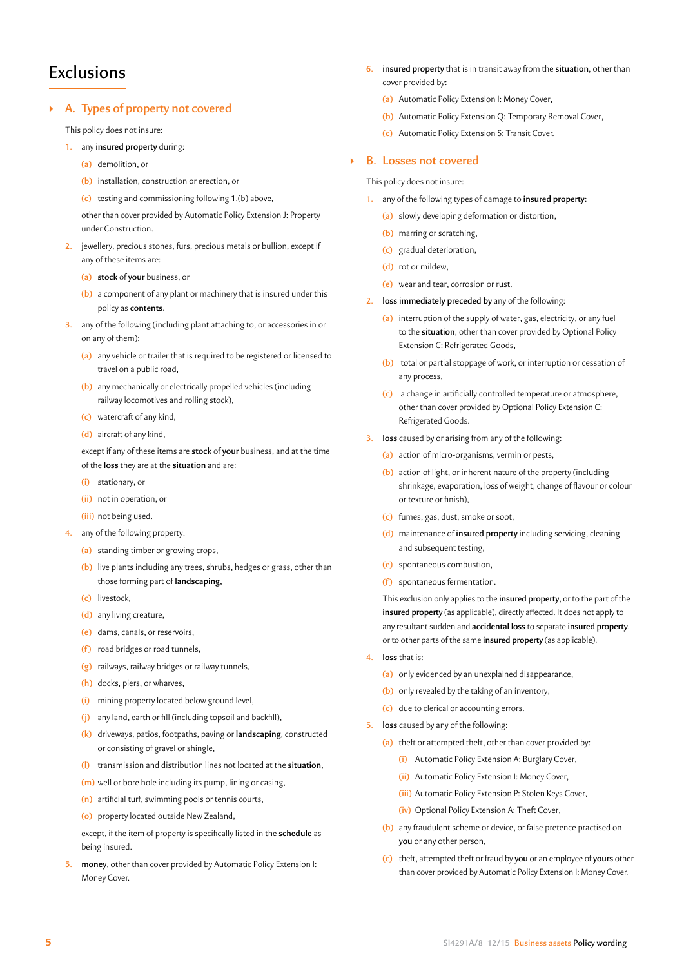## **Exclusions**

## ` **A. Types of property not covered**

This policy does not insure:

- **1.** any **insured property** during:
	- **(a)** demolition, or
	- **(b)** installation, construction or erection, or
	- **(c)** testing and commissioning following 1.(b) above,

other than cover provided by Automatic Policy Extension J: Property under Construction.

- **2.** jewellery, precious stones, furs, precious metals or bullion, except if any of these items are:
	- **(a) stock** of **your** business, or
	- **(b)** a component of any plant or machinery that is insured under this policy as **contents.**
- **3.** any of the following (including plant attaching to, or accessories in or on any of them):
	- **(a)** any vehicle or trailer that is required to be registered or licensed to travel on a public road,
	- **(b)** any mechanically or electrically propelled vehicles (including railway locomotives and rolling stock),
	- **(c)** watercraft of any kind,
	- **(d)** aircraft of any kind,

except if any of these items are **stock** of **your** business, and at the time of the **loss** they are at the **situation** and are:

- **(i)** stationary, or
- **(ii)** not in operation, or
- **(iii)** not being used.
- **4.** any of the following property:
	- **(a)** standing timber or growing crops,
	- **(b)** live plants including any trees, shrubs, hedges or grass, other than those forming part of **landscaping,**
	- **(c)** livestock,
	- **(d)** any living creature,
	- **(e)** dams, canals, or reservoirs,
	- **(f)** road bridges or road tunnels,
	- **(g)** railways, railway bridges or railway tunnels,
	- **(h)** docks, piers, or wharves,
	- **(i)** mining property located below ground level,
	- **(j)** any land, earth or fill (including topsoil and backfill),
	- **(k)** driveways, patios, footpaths, paving or **landscaping**, constructed or consisting of gravel or shingle,
	- **(l)** transmission and distribution lines not located at the **situation**,
	- **(m)** well or bore hole including its pump, lining or casing,
	- **(n)** artificial turf, swimming pools or tennis courts,
	- **(o)** property located outside New Zealand,

except, if the item of property is specifically listed in the **schedule** as being insured.

**5. money**, other than cover provided by Automatic Policy Extension I: Money Cover.

- **6. insured property** that is in transit away from the **situation**, other than cover provided by:
	- **(a)** Automatic Policy Extension I: Money Cover,
	- **(b)** Automatic Policy Extension Q: Temporary Removal Cover,
	- **(c)** Automatic Policy Extension S: Transit Cover.

#### ` **B. Losses not covered**

This policy does not insure:

- **1.** any of the following types of damage to **insured property**:
	- **(a)** slowly developing deformation or distortion,
	- **(b)** marring or scratching,
	- **(c)** gradual deterioration,
	- **(d)** rot or mildew,
	- **(e)** wear and tear, corrosion or rust.
- **2. loss immediately preceded by** any of the following:
	- **(a)** interruption of the supply of water, gas, electricity, or any fuel to the **situation**, other than cover provided by Optional Policy Extension C: Refrigerated Goods,
	- **(b)** total or partial stoppage of work, or interruption or cessation of any process,
	- **(c)** a change in artificially controlled temperature or atmosphere, other than cover provided by Optional Policy Extension C: Refrigerated Goods.
- **3. loss** caused by or arising from any of the following:
	- **(a)** action of micro-organisms, vermin or pests,
	- **(b)** action of light, or inherent nature of the property (including shrinkage, evaporation, loss of weight, change of flavour or colour or texture or finish),
	- **(c)** fumes, gas, dust, smoke or soot,
	- **(d)** maintenance of **insured property** including servicing, cleaning and subsequent testing,
	- **(e)** spontaneous combustion,
	- **(f)** spontaneous fermentation.

This exclusion only applies to the **insured property**, or to the part of the **insured property** (as applicable), directly affected. It does not apply to any resultant sudden and **accidental loss** to separate **insured property**, or to other parts of the same **insured property** (as applicable).

- **4. loss** that is:
	- **(a)** only evidenced by an unexplained disappearance,
	- **(b)** only revealed by the taking of an inventory,
	- **(c)** due to clerical or accounting errors.
- **5. loss** caused by any of the following:
	- **(a)** theft or attempted theft, other than cover provided by:
		- **(i)** Automatic Policy Extension A: Burglary Cover,
		- **(ii)** Automatic Policy Extension I: Money Cover,
		- **(iii)** Automatic Policy Extension P: Stolen Keys Cover,
		- **(iv)** Optional Policy Extension A: Theft Cover,
	- **(b)** any fraudulent scheme or device, or false pretence practised on **you** or any other person,
	- **(c)** theft, attempted theft or fraud by **you** or an employee of **yours** other than cover provided by Automatic Policy Extension I: Money Cover.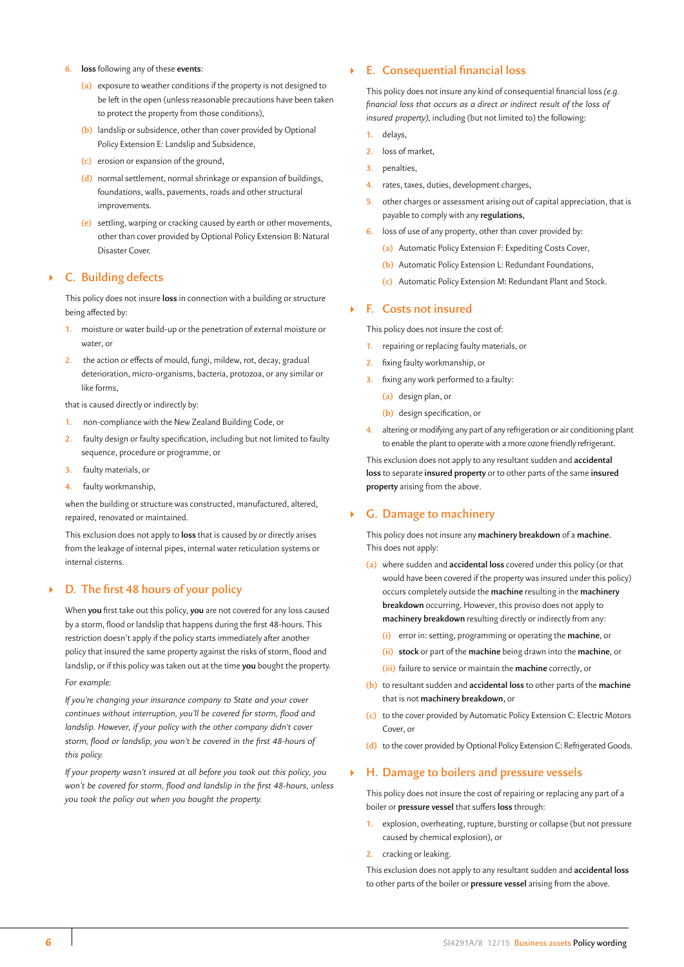- **6. loss** following any of these **events**:
	- **(a)** exposure to weather conditions if the property is not designed to be left in the open (unless reasonable precautions have been taken to protect the property from those conditions),
	- **(b)** landslip or subsidence, other than cover provided by Optional Policy Extension E: Landslip and Subsidence,
	- **(c)** erosion or expansion of the ground,
	- **(d)** normal settlement, normal shrinkage or expansion of buildings, foundations, walls, pavements, roads and other structural improvements.
	- **(e)** settling, warping or cracking caused by earth or other movements, other than cover provided by Optional Policy Extension B: Natural Disaster Cover.

## ` **C. Building defects**

This policy does not insure **loss** in connection with a building or structure being affected by:

- **1.** moisture or water build-up or the penetration of external moisture or water, or
- **2.** the action or effects of mould, fungi, mildew, rot, decay, gradual deterioration, micro-organisms, bacteria, protozoa, or any similar or like forms,

that is caused directly or indirectly by:

- **1.** non-compliance with the New Zealand Building Code, or
- **2.** faulty design or faulty specification, including but not limited to faulty sequence, procedure or programme, or
- **3.** faulty materials, or
- **4.** faulty workmanship,

when the building or structure was constructed, manufactured, altered, repaired, renovated or maintained.

This exclusion does not apply to **loss** that is caused by or directly arises from the leakage of internal pipes, internal water reticulation systems or internal cisterns.

## ` **D. The first 48 hours of your policy**

When **you** first take out this policy, **you** are not covered for any loss caused by a storm, flood or landslip that happens during the first 48-hours. This restriction doesn't apply if the policy starts immediately after another policy that insured the same property against the risks of storm, flood and landslip, or if this policy was taken out at the time **you** bought the property. *For example:*

*If you're changing your insurance company to State and your cover continues without interruption, you'll be covered for storm, flood and landslip. However, if your policy with the other company didn't cover storm, flood or landslip, you won't be covered in the first 48-hours of this policy.*

*If your property wasn't insured at all before you took out this policy, you won't be covered for storm, flood and landslip in the first 48-hours, unless you took the policy out when you bought the property.*

## ` **E. Consequential financial loss**

This policy does not insure any kind of consequential financial loss *(e.g. financial loss that occurs as a direct or indirect result of the loss of insured property)*, including (but not limited to) the following:

- **1.** delays,
- **2.** loss of market,
- **3.** penalties,
- **4.** rates, taxes, duties, development charges,
- **5.** other charges or assessment arising out of capital appreciation, that is payable to comply with any **regulations,**
- loss of use of any property, other than cover provided by:
	- **(a)** Automatic Policy Extension F: Expediting Costs Cover,
	- **(b)** Automatic Policy Extension L: Redundant Foundations,
	- **(c)** Automatic Policy Extension M: Redundant Plant and Stock.

## ` **F. Costs not insured**

This policy does not insure the cost of:

- **1.** repairing or replacing faulty materials, or
- **2.** fixing faulty workmanship, or
- **3.** fixing any work performed to a faulty:
	- **(a)** design plan, or
	- **(b)** design specification, or
- **4.** altering or modifying any part of any refrigeration or air conditioning plant to enable the plant to operate with a more ozone friendly refrigerant.

This exclusion does not apply to any resultant sudden and **accidental loss** to separate **insured property** or to other parts of the same **insured property** arising from the above.

## ` **G. Damage to machinery**

This policy does not insure any **machinery breakdown** of a **machine.** This does not apply:

- **(a)** where sudden and **accidental loss** covered under this policy (or that would have been covered if the property was insured under this policy) occurs completely outside the **machine** resulting in the **machinery breakdown** occurring. However, this proviso does not apply to **machinery breakdown** resulting directly or indirectly from any:
	- **(i)** error in: setting, programming or operating the **machine**, or
	- **(ii) stock** or part of the **machine** being drawn into the **machine**, or
	- **(iii)** failure to service or maintain the **machine** correctly, or
- **(b)** to resultant sudden and **accidental loss** to other parts of the **machine**  that is not **machinery breakdown,** or
- **(c)** to the cover provided by Automatic Policy Extension C: Electric Motors Cover, or
- **(d)** to the cover provided by Optional Policy Extension C: Refrigerated Goods.

## ` **H. Damage to boilers and pressure vessels**

This policy does not insure the cost of repairing or replacing any part of a boiler or **pressure vessel** that suffers **loss** through:

- **1.** explosion, overheating, rupture, bursting or collapse (but not pressure caused by chemical explosion), or
- **2.** cracking or leaking.

This exclusion does not apply to any resultant sudden and **accidental loss** to other parts of the boiler or **pressure vessel** arising from the above.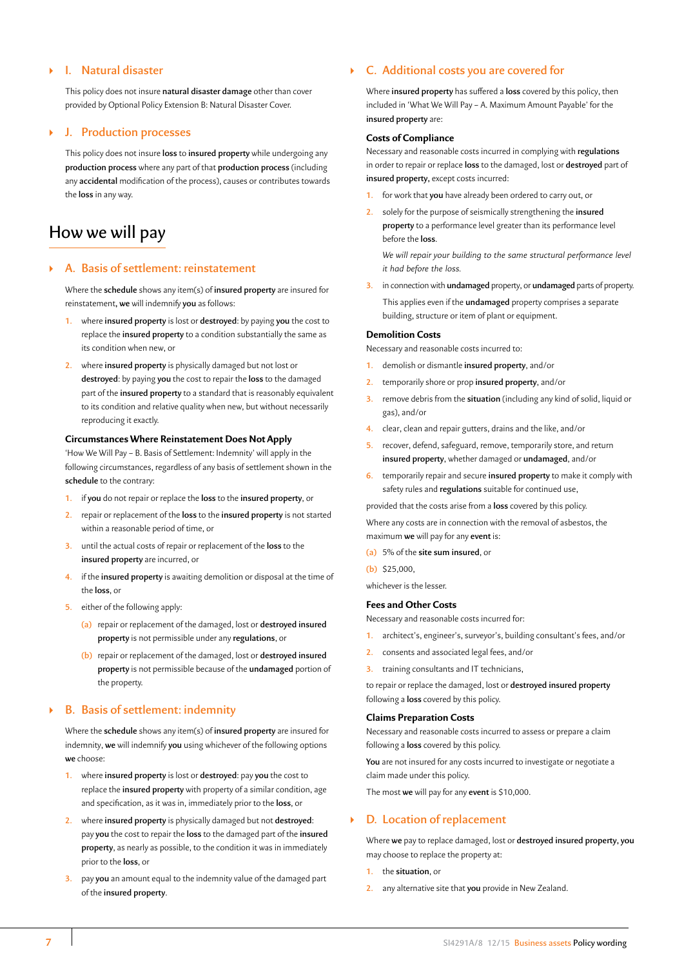## ` **I. Natural disaster**

This policy does not insure **natural disaster damage** other than cover provided by Optional Policy Extension B: Natural Disaster Cover.

## ` **J. Production processes**

This policy does not insure **loss** to **insured property** while undergoing any **production process** where any part of that **production process** (including any **accidental** modification of the process), causes or contributes towards the **loss** in any way.

## How we will pay

### ` **A. Basis of settlement: reinstatement**

Where the **schedule** shows any item(s) of **insured property** are insured for reinstatement**, we** will indemnify **you** as follows:

- **1.** where **insured property** is lost or **destroyed**: by paying **you** the cost to replace the **insured property** to a condition substantially the same as its condition when new, or
- **2.** where **insured property** is physically damaged but not lost or **destroyed**: by paying **you** the cost to repair the **loss** to the damaged part of the **insured property** to a standard that is reasonably equivalent to its condition and relative quality when new, but without necessarily reproducing it exactly.

### **Circumstances Where Reinstatement Does Not Apply**

'How We Will Pay – B. Basis of Settlement: Indemnity' will apply in the following circumstances, regardless of any basis of settlement shown in the **schedule** to the contrary:

- **1.** if **you** do not repair or replace the **loss** to the **insured property**, or
- **2.** repair or replacement of the **loss** to the **insured property** is not started within a reasonable period of time, or
- **3.** until the actual costs of repair or replacement of the **loss** to the **insured property** are incurred, or
- **4.** if the **insured property** is awaiting demolition or disposal at the time of the **loss**, or
- **5.** either of the following apply:
	- **(a)** repair or replacement of the damaged, lost or **destroyed insured property** is not permissible under any **regulations**, or
	- **(b)** repair or replacement of the damaged, lost or **destroyed insured property** is not permissible because of the **undamaged** portion of the property.

## ` **B. Basis of settlement: indemnity**

Where the **schedule** shows any item(s) of **insured property** are insured for indemnity, **we** will indemnify **you** using whichever of the following options **we** choose:

- **1.** where **insured property** is lost or **destroyed**: pay **you** the cost to replace the **insured property** with property of a similar condition, age and specification, as it was in, immediately prior to the **loss**, or
- **2.** where **insured property** is physically damaged but not **destroyed**: pay **you** the cost to repair the **loss** to the damaged part of the **insured property**, as nearly as possible, to the condition it was in immediately prior to the **loss**, or
- **3.** pay **you** an amount equal to the indemnity value of the damaged part of the **insured property**.

## ` **C. Additional costs you are covered for**

Where **insured property** has suffered a **loss** covered by this policy, then included in 'What We Will Pay – A. Maximum Amount Payable' for the **insured property** are:

#### **Costs of Compliance**

Necessary and reasonable costs incurred in complying with **regulations** in order to repair or replace **loss** to the damaged, lost or **destroyed** part of **insured property,** except costs incurred:

- **1.** for work that **you** have already been ordered to carry out, or
- **2.** solely for the purpose of seismically strengthening the **insured property** to a performance level greater than its performance level before the **loss**.

*We will repair your building to the same structural performance level it had before the loss.*

**3.** in connection with **undamaged** property, or **undamaged** parts of property. This applies even if the **undamaged** property comprises a separate building, structure or item of plant or equipment.

#### **Demolition Costs**

Necessary and reasonable costs incurred to:

- **1.** demolish or dismantle **insured property**, and/or
- **2.** temporarily shore or prop **insured property**, and/or
- **3.** remove debris from the **situation** (including any kind of solid, liquid or gas), and/or
- **4.** clear, clean and repair gutters, drains and the like, and/or
- **5.** recover, defend, safeguard, remove, temporarily store, and return **insured property**, whether damaged or **undamaged**, and/or
- **6.** temporarily repair and secure **insured property** to make it comply with safety rules and **regulations** suitable for continued use,

provided that the costs arise from a **loss** covered by this policy.

Where any costs are in connection with the removal of asbestos, the maximum **we** will pay for any **event** is:

- **(a)** 5% of the **site sum insured**, or
- **(b)** \$25,000,

whichever is the lesser.

#### **Fees and Other Costs**

- Necessary and reasonable costs incurred for:
- **1.** architect's, engineer's, surveyor's, building consultant's fees, and/or
- **2.** consents and associated legal fees, and/or
- **3.** training consultants and IT technicians,

to repair or replace the damaged, lost or **destroyed insured property** following a **loss** covered by this policy.

#### **Claims Preparation Costs**

Necessary and reasonable costs incurred to assess or prepare a claim following a **loss** covered by this policy.

**You** are not insured for any costs incurred to investigate or negotiate a claim made under this policy.

The most **we** will pay for any **event** is \$10,000.

## ` **D. Location of replacement**

Where **we** pay to replace damaged, lost or **destroyed insured property, you** may choose to replace the property at:

- **1.** the **situation**, or
- **2.** any alternative site that **you** provide in New Zealand.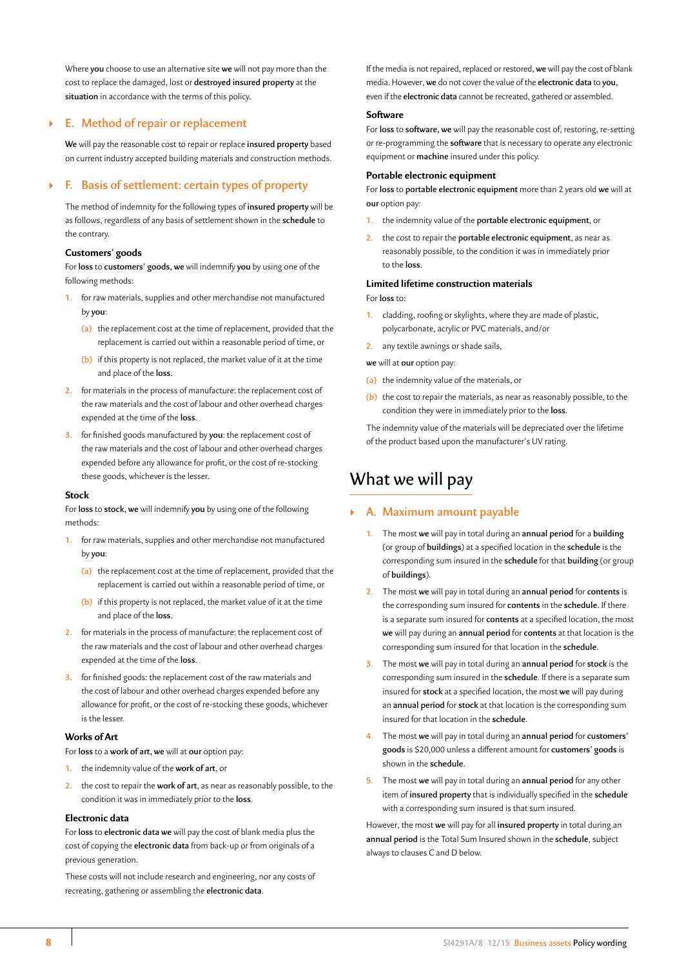Where **you** choose to use an alternative site **we** will not pay more than the cost to replace the damaged, lost or **destroyed insured property** at the **situation** in accordance with the terms of this policy.

## ` **E. Method of repair or replacement**

**We** will pay the reasonable cost to repair or replace **insured property** based on current industry accepted building materials and construction methods.

## ` **F. Basis of settlement: certain types of property**

The method of indemnity for the following types of **insured property** will be as follows, regardless of any basis of settlement shown in the **schedule** to the contrary.

## **Customers' goods**

For **loss** to **customers' goods, we** will indemnify **you** by using one of the following methods:

- **1.** for raw materials, supplies and other merchandise not manufactured by **you**:
	- **(a)** the replacement cost at the time of replacement, provided that the replacement is carried out within a reasonable period of time, or
	- **(b)** if this property is not replaced, the market value of it at the time and place of the **loss**.
- **2.** for materials in the process of manufacture: the replacement cost of the raw materials and the cost of labour and other overhead charges expended at the time of the **loss**.
- **3.** for finished goods manufactured by **you**: the replacement cost of the raw materials and the cost of labour and other overhead charges expended before any allowance for profit, or the cost of re-stocking these goods, whichever is the lesser.

### **Stock**

For **loss** to **stock, we** will indemnify **you** by using one of the following methods:

- **1.** for raw materials, supplies and other merchandise not manufactured by **you**:
	- **(a)** the replacement cost at the time of replacement, provided that the replacement is carried out within a reasonable period of time, or
	- **(b)** if this property is not replaced, the market value of it at the time and place of the **loss**.
- **2.** for materials in the process of manufacture: the replacement cost of the raw materials and the cost of labour and other overhead charges expended at the time of the **loss**.
- **3.** for finished goods: the replacement cost of the raw materials and the cost of labour and other overhead charges expended before any allowance for profit, or the cost of re-stocking these goods, whichever is the lesser.

### **Works of Art**

For **loss** to a **work of art, we** will at **our** option pay:

- **1.** the indemnity value of the **work of art**, or
- **2.** the cost to repair the **work of art**, as near as reasonably possible, to the condition it was in immediately prior to the **loss**.

#### **Electronic data**

For **loss** to **electronic data we** will pay the cost of blank media plus the cost of copying the **electronic data** from back-up or from originals of a previous generation.

These costs will not include research and engineering, nor any costs of recreating, gathering or assembling the **electronic data**.

If the media is not repaired, replaced or restored, **we** will pay the cost of blank media. However, **we** do not cover the value of the **electronic data** to **you**, even if the **electronic data** cannot be recreated, gathered or assembled.

#### **Software**

For **loss** to **software, we** will pay the reasonable cost of, restoring, re-setting or re-programming the **software** that is necessary to operate any electronic equipment or **machine** insured under this policy.

#### **Portable electronic equipment**

For **loss** to **portable electronic equipment** more than 2 years old **we** will at **our** option pay:

- **1.** the indemnity value of the **portable electronic equipment**, or
- **2.** the cost to repair the **portable electronic equipment**, as near as reasonably possible, to the condition it was in immediately prior to the **loss**.

## **Limited lifetime construction materials**

#### For **loss** to:

- **1.** cladding, roofing or skylights, where they are made of plastic, polycarbonate, acrylic or PVC materials, and/or
- **2.** any textile awnings or shade sails,

**we** will at **our** option pay:

- **(a)** the indemnity value of the materials, or
- **(b)** the cost to repair the materials, as near as reasonably possible, to the condition they were in immediately prior to the **loss**.

The indemnity value of the materials will be depreciated over the lifetime of the product based upon the manufacturer's UV rating.

## What we will pay

## ` **A. Maximum amount payable**

- **1.** The most **we** will pay in total during an **annual period** for a **building** (or group of **buildings**) at a specified location in the **schedule** is the corresponding sum insured in the **schedule** for that **building** (or group of **buildings**).
- **2.** The most **we** will pay in total during an **annual period** for **contents** is the corresponding sum insured for **contents** in the **schedule**. If there is a separate sum insured for **contents** at a specified location, the most **we** will pay during an **annual period** for **contents** at that location is the corresponding sum insured for that location in the **schedule**.
- **3.** The most **we** will pay in total during an **annual period** for **stock** is the corresponding sum insured in the **schedule**. If there is a separate sum insured for **stock** at a specified location, the most **we** will pay during an **annual period** for **stock** at that location is the corresponding sum insured for that location in the **schedule**.
- **4.** The most **we** will pay in total during an **annual period** for **customers' goods** is \$20,000 unless a different amount for **customers' goods** is shown in the **schedule**.
- **5.** The most **we** will pay in total during an **annual period** for any other item of **insured property** that is individually specified in the **schedule** with a corresponding sum insured is that sum insured.

However, the most **we** will pay for all **insured property** in total during an **annual period** is the Total Sum Insured shown in the **schedule**, subject always to clauses C and D below.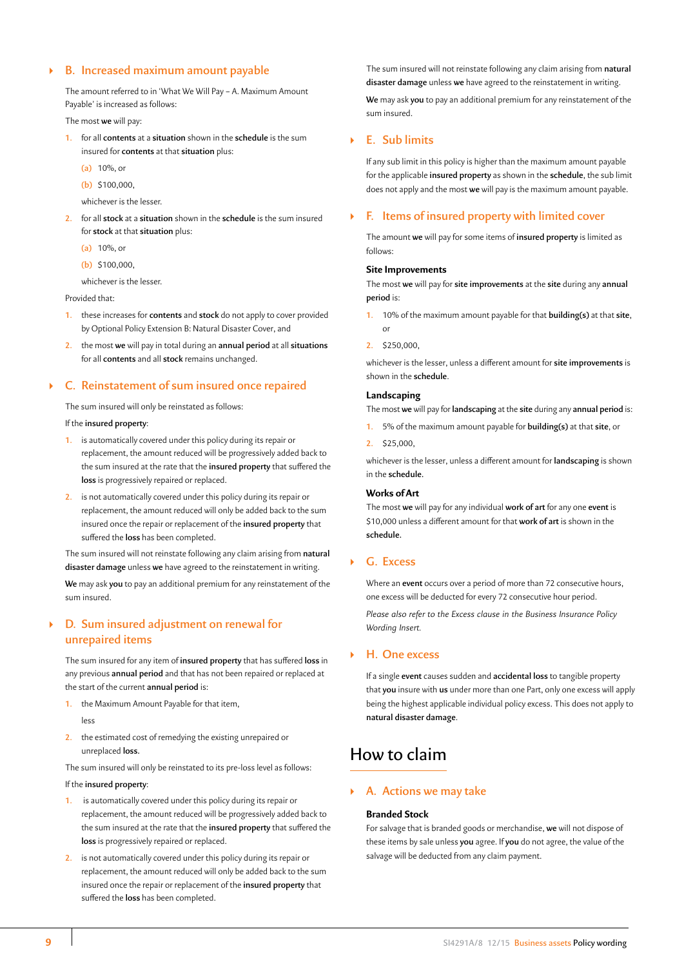## ` **B. Increased maximum amount payable**

The amount referred to in 'What We Will Pay – A. Maximum Amount Payable' is increased as follows:

The most **we** will pay:

- **1.** for all **contents** at a **situation** shown in the **schedule** is the sum insured for **contents** at that **situation** plus:
	- **(a)** 10%, or
	- **(b)** \$100,000,
	- whichever is the lesser.
- **2.** for all **stock** at a **situation** shown in the **schedule** is the sum insured for **stock** at that **situation** plus:
	- **(a)** 10%, or
	- **(b)** \$100,000,

whichever is the lesser.

Provided that:

- **1.** these increases for **contents** and **stock** do not apply to cover provided by Optional Policy Extension B: Natural Disaster Cover, and
- **2.** the most **we** will pay in total during an **annual period** at all **situations** for all **contents** and all **stock** remains unchanged.

### ` **C. Reinstatement of sum insured once repaired**

The sum insured will only be reinstated as follows:

### If the **insured property**:

- **1.** is automatically covered under this policy during its repair or replacement, the amount reduced will be progressively added back to the sum insured at the rate that the **insured property** that suffered the **loss** is progressively repaired or replaced.
- **2.** is not automatically covered under this policy during its repair or replacement, the amount reduced will only be added back to the sum insured once the repair or replacement of the **insured property** that suffered the **loss** has been completed.

The sum insured will not reinstate following any claim arising from **natural disaster damage** unless **we** have agreed to the reinstatement in writing.

**We** may ask **you** to pay an additional premium for any reinstatement of the sum insured.

## ` **D. Sum insured adjustment on renewal for unrepaired items**

The sum insured for any item of **insured property** that has suffered **loss** in any previous **annual period** and that has not been repaired or replaced at the start of the current **annual period** is:

- **1.** the Maximum Amount Payable for that item, less
- **2.** the estimated cost of remedying the existing unrepaired or unreplaced **loss.**

The sum insured will only be reinstated to its pre-loss level as follows: If the **insured property**:

- **1.** is automatically covered under this policy during its repair or replacement, the amount reduced will be progressively added back to the sum insured at the rate that the **insured property** that suffered the **loss** is progressively repaired or replaced.
- **2.** is not automatically covered under this policy during its repair or replacement, the amount reduced will only be added back to the sum insured once the repair or replacement of the **insured property** that suffered the **loss** has been completed.

The sum insured will not reinstate following any claim arising from **natural disaster damage** unless **we** have agreed to the reinstatement in writing.

**We** may ask **you** to pay an additional premium for any reinstatement of the sum insured.

## ` **E. Sub limits**

If any sub limit in this policy is higher than the maximum amount payable for the applicable **insured property** as shown in the **schedule**, the sub limit does not apply and the most **we** will pay is the maximum amount payable.

## ` **F. Items of insured property with limited cover**

The amount **we** will pay for some items of **insured property** is limited as follows:

## **Site Improvements**

The most **we** will pay for **site improvements** at the **site** during any **annual period** is:

- **1.** 10% of the maximum amount payable for that **building(s)** at that **site**, or
- **2.** \$250,000,

whichever is the lesser, unless a different amount for **site improvements** is shown in the **schedule**.

#### **Landscaping**

The most **we** will pay for **landscaping** at the **site** during any **annual period** is:

- **1.** 5% of the maximum amount payable for **building(s)** at that **site**, or
- **2.** \$25,000,

whichever is the lesser, unless a different amount for **landscaping** is shown in the **schedule.**

#### **Works of Art**

The most **we** will pay for any individual **work of art** for any one **event** is \$10,000 unless a different amount for that **work of art** is shown in the **schedule.**

## ` **G. Excess**

Where an **event** occurs over a period of more than 72 consecutive hours, one excess will be deducted for every 72 consecutive hour period.

*Please also refer to the Excess clause in the Business Insurance Policy Wording Insert.*

## ` **H. One excess**

If a single **event** causes sudden and **accidental loss** to tangible property that **you** insure with **us** under more than one Part, only one excess will apply being the highest applicable individual policy excess. This does not apply to **natural disaster damage**.

## How to claim

#### ` **A. Actions we may take**

#### **Branded Stock**

For salvage that is branded goods or merchandise, **we** will not dispose of these items by sale unless **you** agree. If **you** do not agree, the value of the salvage will be deducted from any claim payment.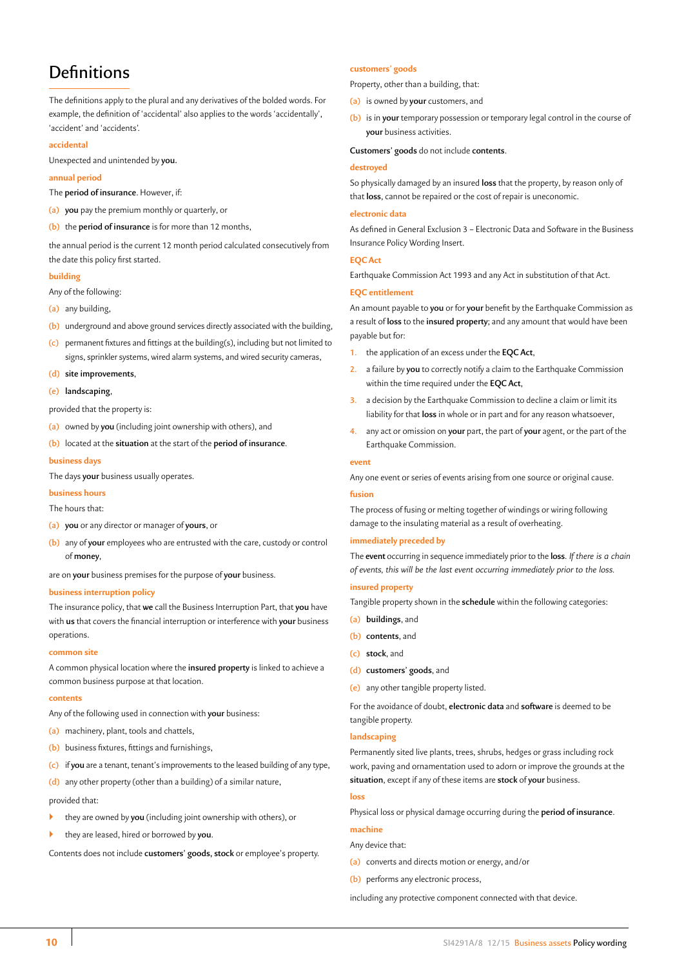## **Definitions**

The definitions apply to the plural and any derivatives of the bolded words. For example, the definition of 'accidental' also applies to the words 'accidentally', 'accident' and 'accidents'.

#### **accidental**

Unexpected and unintended by **you.**

#### **annual period**

- The **period of insurance**. However, if:
- **(a) you** pay the premium monthly or quarterly, or
- **(b)** the **period of insurance** is for more than 12 months,

the annual period is the current 12 month period calculated consecutively from the date this policy first started.

#### **building**

Any of the following:

- **(a)** any building,
- **(b)** underground and above ground services directly associated with the building,
- **(c)** permanent fixtures and fittings at the building(s), including but not limited to signs, sprinkler systems, wired alarm systems, and wired security cameras,
- **(d) site improvements**,
- **(e) landscaping**,

provided that the property is:

- **(a)** owned by **you** (including joint ownership with others), and
- **(b)** located at the **situation** at the start of the **period of insurance**.

## **business days**

The days **your** business usually operates.

#### **business hours**

The hours that:

- **(a) you** or any director or manager of **yours**, or
- **(b)** any of **your** employees who are entrusted with the care, custody or control of **money**,

are on **your** business premises for the purpose of **your** business.

#### **business interruption policy**

The insurance policy, that **we** call the Business Interruption Part, that **you** have with **us** that covers the financial interruption or interference with **your** business operations.

#### **common site**

A common physical location where the **insured property** is linked to achieve a common business purpose at that location.

#### **contents**

Any of the following used in connection with **your** business:

- **(a)** machinery, plant, tools and chattels,
- **(b)** business fixtures, fittings and furnishings,
- **(c)** if **you** are a tenant, tenant's improvements to the leased building of any type,

**(d)** any other property (other than a building) of a similar nature,

provided that:

- ` they are owned by **you** (including joint ownership with others), or
- ` they are leased, hired or borrowed by **you**.

Contents does not include **customers' goods, stock** or employee's property.

#### **customers' goods**

Property, other than a building, that:

- **(a)** is owned by **your** customers, and
- **(b)** is in **your** temporary possession or temporary legal control in the course of **your** business activities.

**Customers' goods** do not include **contents**.

#### **destroyed**

So physically damaged by an insured **loss** that the property, by reason only of that **loss**, cannot be repaired or the cost of repair is uneconomic.

#### **electronic data**

As defined in General Exclusion 3 – Electronic Data and Software in the Business Insurance Policy Wording Insert.

#### **EQC Act**

Earthquake Commission Act 1993 and any Act in substitution of that Act.

#### **EQC entitlement**

An amount payable to **you** or for **your** benefit by the Earthquake Commission as a result of **loss** to the **insured property**; and any amount that would have been payable but for:

- **1.** the application of an excess under the **EQC Act**,
- **2.** a failure by **you** to correctly notify a claim to the Earthquake Commission within the time required under the **EQC Act**,
- **3.** a decision by the Earthquake Commission to decline a claim or limit its liability for that **loss** in whole or in part and for any reason whatsoever,
- **4.** any act or omission on **your** part, the part of **your** agent, or the part of the Earthquake Commission.

#### **event**

Any one event or series of events arising from one source or original cause.

#### **fusion**

The process of fusing or melting together of windings or wiring following damage to the insulating material as a result of overheating.

#### **immediately preceded by**

The **event** occurring in sequence immediately prior to the **loss**. *If there is a chain of events, this will be the last event occurring immediately prior to the loss.*

#### **insured property**

- Tangible property shown in the **schedule** within the following categories:
- **(a) buildings**, and
- **(b) contents**, and
- **(c) stock**, and
- **(d) customers' goods**, and
- **(e)** any other tangible property listed.

For the avoidance of doubt, **electronic data** and **software** is deemed to be tangible property.

#### **landscaping**

Permanently sited live plants, trees, shrubs, hedges or grass including rock work, paving and ornamentation used to adorn or improve the grounds at the **situation**, except if any of these items are **stock** of **your** business.

#### **loss**

Physical loss or physical damage occurring during the **period of insurance**.

## **machine**

- Any device that:
- **(a)** converts and directs motion or energy, and/or
- **(b)** performs any electronic process,

including any protective component connected with that device.